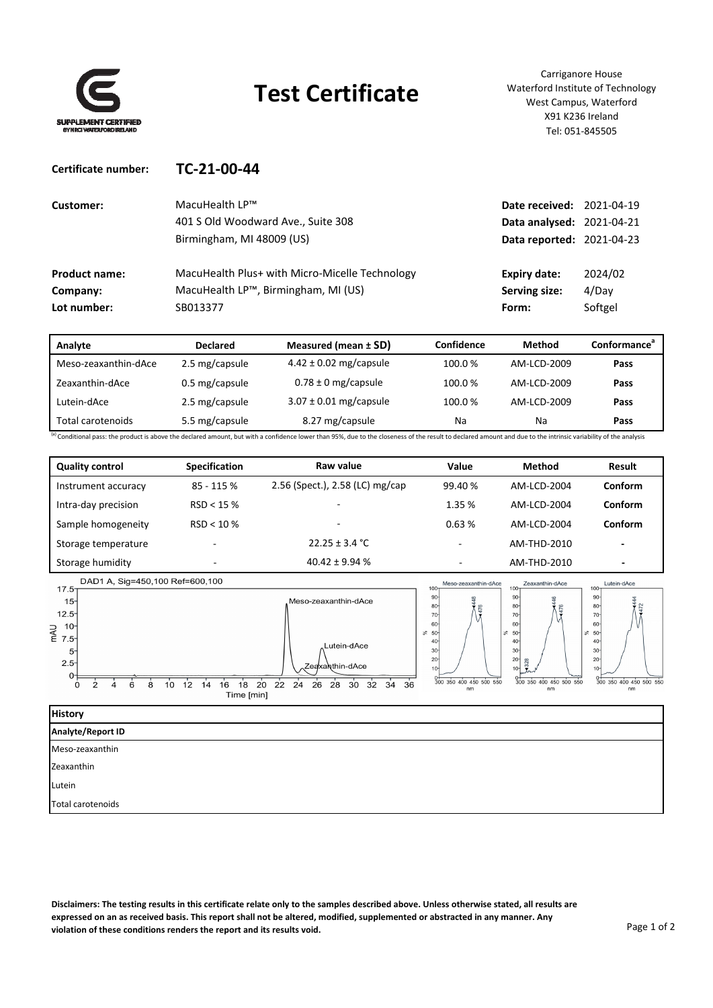

**Certificate number: TC‐21‐00‐44**

## **Test Certificate**

Carriganore House Waterford Institute of Technology West Campus, Waterford X91 K236 Ireland Tel: 051‐845505

| Customer:            | $Macu$ Health I $P^{\text{TM}}$                | <b>Date received: 2021-04-19</b> |         |
|----------------------|------------------------------------------------|----------------------------------|---------|
|                      | 401 S Old Woodward Ave., Suite 308             | <b>Data analysed: 2021-04-21</b> |         |
|                      | Birmingham, MI 48009 (US)                      | <b>Data reported: 2021-04-23</b> |         |
|                      |                                                |                                  |         |
| <b>Product name:</b> | MacuHealth Plus+ with Micro-Micelle Technology | <b>Expiry date:</b>              | 2024/02 |
| Company:             | MacuHealth LP™, Birmingham, MI (US)            | Serving size:                    | 4/Dav   |
| Lot number:          | SB013377                                       | Form:                            | Softgel |
|                      |                                                |                                  |         |

| Analyte                                                                                                                                                                                                          | <b>Declared</b> | Measured (mean $\pm$ SD)   | Confidence | Method      | Conformance <sup>ª</sup> |
|------------------------------------------------------------------------------------------------------------------------------------------------------------------------------------------------------------------|-----------------|----------------------------|------------|-------------|--------------------------|
| Meso-zeaxanthin-dAce                                                                                                                                                                                             | 2.5 mg/capsule  | $4.42 \pm 0.02$ mg/capsule | 100.0%     | AM-LCD-2009 | Pass                     |
| Zeaxanthin-dAce                                                                                                                                                                                                  | 0.5 mg/capsule  | $0.78 \pm 0$ mg/capsule    | 100.0%     | AM-LCD-2009 | Pass                     |
| Lutein-dAce                                                                                                                                                                                                      | 2.5 mg/capsule  | $3.07 \pm 0.01$ mg/capsule | 100.0%     | AM-LCD-2009 | Pass                     |
| Total carotenoids                                                                                                                                                                                                | 5.5 mg/capsule  | 8.27 mg/capsule            | Na         | Na          | Pass                     |
| (a) Conditional pass: the product is above the declared amount, but with a confidence lower than 95%, due to the closeness of the result to declared amount and due to the intrinsic variability of the analysis |                 |                            |            |             |                          |

| <b>Quality control</b> | <b>Specification</b>     | Raw value                       | Value                    | <b>Method</b> | Result                   |
|------------------------|--------------------------|---------------------------------|--------------------------|---------------|--------------------------|
| Instrument accuracy    | $85 - 115%$              | 2.56 (Spect.), 2.58 (LC) mg/cap | 99.40 %                  | AM-LCD-2004   | <b>Conform</b>           |
| Intra-day precision    | RSD < 15%                |                                 | 1.35%                    | AM-LCD-2004   | Conform                  |
| Sample homogeneity     | $RSD < 10 \%$            |                                 | 0.63%                    | AM-LCD-2004   | Conform                  |
| Storage temperature    | $\overline{\phantom{0}}$ | $22.25 \pm 3.4$ °C              | $\overline{\phantom{a}}$ | AM-THD-2010   | $\overline{\phantom{0}}$ |
| Storage humidity       | $\overline{\phantom{a}}$ | $40.42 \pm 9.94$ %              | ۰                        | AM-THD-2010   | $\overline{\phantom{a}}$ |



| <b>History</b>    |
|-------------------|
| Analyte/Report ID |
| Meso-zeaxanthin   |
| Zeaxanthin        |
| Lutein            |
| Total carotenoids |

Disclaimers: The testing results in this certificate relate only to the samples described above. Unless otherwise stated, all results are expressed on an as received basis. This report shall not be altered, modified, supplemented or abstracted in any manner. Any **violation of these conditions renders the report and its results void.**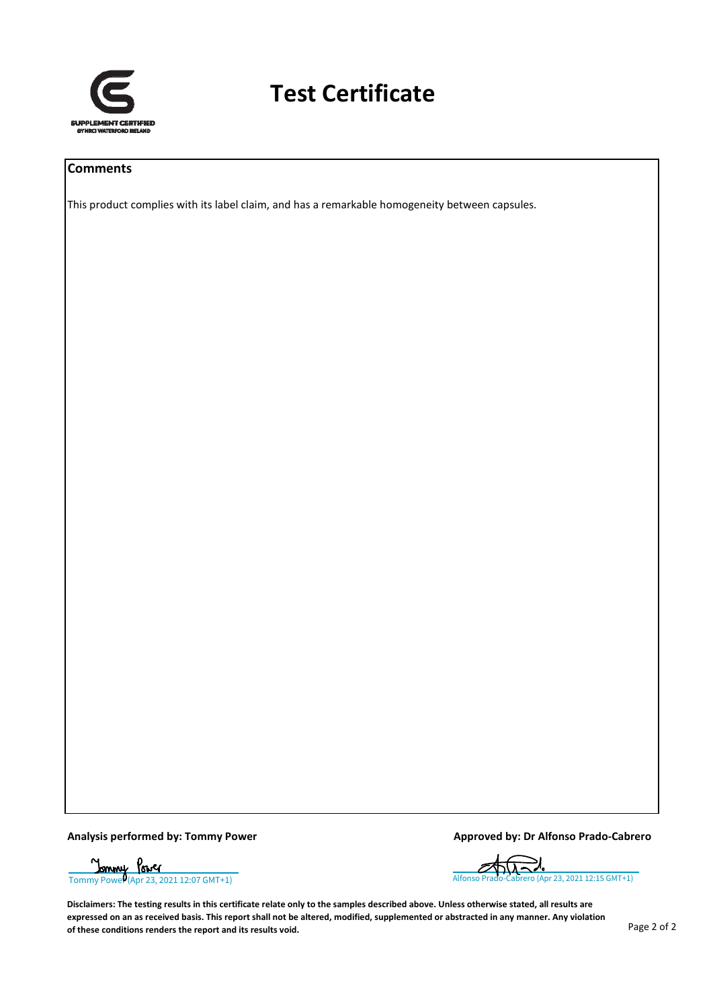

## **Test Certificate**

#### **Comments**

This product complies with its label claim, and has a remarkable homogeneity between capsules.

**Analysis performed by: Tommy Power Approved by: Dr Alfonso Prado‐Cabrero**

[Tommy Power \(Apr 23, 2021 12:07 GMT+1\)](https://eu2.documents.adobe.com/verifier?tx=CBJCHBCAABAAYtMptoXlbmgysnUzMB75Q3ZLUGbfftm9) [Alfonso Prado-Cabrero \(Apr 23, 2021 12:15 GMT+1\)](https://eu2.documents.adobe.com/verifier?tx=CBJCHBCAABAAYtMptoXlbmgysnUzMB75Q3ZLUGbfftm9)עמ

Disclaimers: The testing results in this certificate relate only to the samples described above. Unless otherwise stated, all results are expressed on an as received basis. This report shall not be altered, modified, supplemented or abstracted in any manner. Any violation **of these conditions renders the report and its results void.**